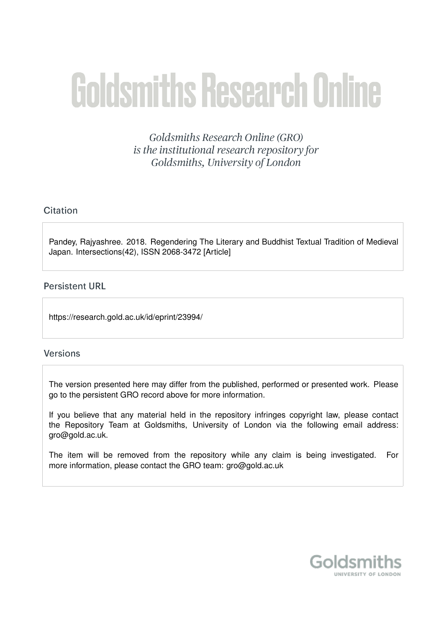# **Goldsmiths Research Online**

Goldsmiths Research Online (GRO) is the institutional research repository for Goldsmiths, University of London

# Citation

Pandey, Rajyashree. 2018. Regendering The Literary and Buddhist Textual Tradition of Medieval Japan. Intersections(42), ISSN 2068-3472 [Article]

# **Persistent URL**

https://research.gold.ac.uk/id/eprint/23994/

## **Versions**

The version presented here may differ from the published, performed or presented work. Please go to the persistent GRO record above for more information.

If you believe that any material held in the repository infringes copyright law, please contact the Repository Team at Goldsmiths, University of London via the following email address: gro@gold.ac.uk.

The item will be removed from the repository while any claim is being investigated. For more information, please contact the GRO team: gro@gold.ac.uk

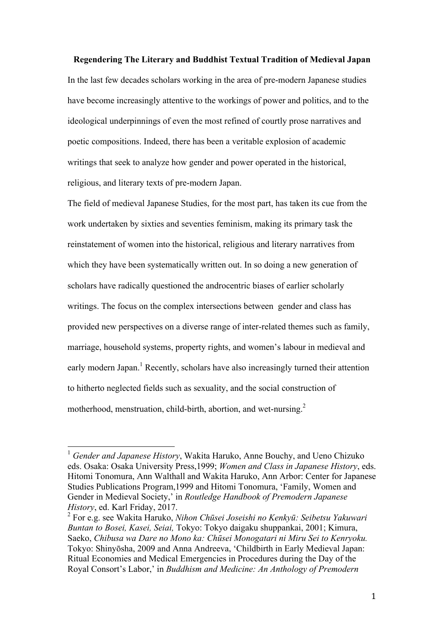#### **Regendering The Literary and Buddhist Textual Tradition of Medieval Japan**

In the last few decades scholars working in the area of pre-modern Japanese studies have become increasingly attentive to the workings of power and politics, and to the ideological underpinnings of even the most refined of courtly prose narratives and poetic compositions. Indeed, there has been a veritable explosion of academic writings that seek to analyze how gender and power operated in the historical, religious, and literary texts of pre-modern Japan.

The field of medieval Japanese Studies, for the most part, has taken its cue from the work undertaken by sixties and seventies feminism, making its primary task the reinstatement of women into the historical, religious and literary narratives from which they have been systematically written out. In so doing a new generation of scholars have radically questioned the androcentric biases of earlier scholarly writings. The focus on the complex intersections between gender and class has provided new perspectives on a diverse range of inter-related themes such as family, marriage, household systems, property rights, and women's labour in medieval and early modern Japan.<sup>1</sup> Recently, scholars have also increasingly turned their attention to hitherto neglected fields such as sexuality, and the social construction of motherhood, menstruation, child-birth, abortion, and wet-nursing.<sup>2</sup>

 <sup>1</sup> *Gender and Japanese History*, Wakita Haruko, Anne Bouchy, and Ueno Chizuko eds. Osaka: Osaka University Press,1999; *Women and Class in Japanese History*, eds. Hitomi Tonomura, Ann Walthall and Wakita Haruko, Ann Arbor: Center for Japanese Studies Publications Program,1999 and Hitomi Tonomura, 'Family, Women and Gender in Medieval Society,' in *Routledge Handbook of Premodern Japanese History*, ed. Karl Friday, 2017.

<sup>2</sup> For e.g. see Wakita Haruko, *Nihon Chūsei Joseishi no Kenkyū: Seibetsu Yakuwari Buntan to Bosei, Kasei, Seiai,* Tokyo: Tokyo daigaku shuppankai, 2001; Kimura, Saeko, *Chibusa wa Dare no Mono ka: Chūsei Monogatari ni Miru Sei to Kenryoku.* Tokyo: Shinyōsha, 2009 and Anna Andreeva, 'Childbirth in Early Medieval Japan: Ritual Economies and Medical Emergencies in Procedures during the Day of the Royal Consort's Labor,' in *Buddhism and Medicine: An Anthology of Premodern*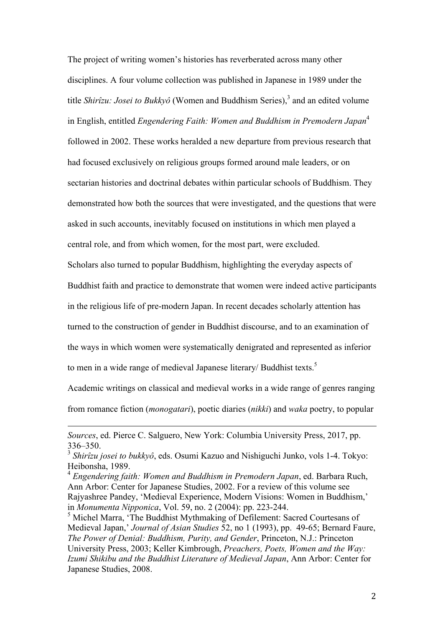The project of writing women's histories has reverberated across many other disciplines. A four volume collection was published in Japanese in 1989 under the title *Shirîzu: Josei to Bukkyô* (Women and Buddhism Series), <sup>3</sup> and an edited volume in English, entitled *Engendering Faith: Women and Buddhism in Premodern Japan*<sup>4</sup> followed in 2002. These works heralded a new departure from previous research that had focused exclusively on religious groups formed around male leaders, or on sectarian histories and doctrinal debates within particular schools of Buddhism. They demonstrated how both the sources that were investigated, and the questions that were asked in such accounts, inevitably focused on institutions in which men played a central role, and from which women, for the most part, were excluded.

Scholars also turned to popular Buddhism, highlighting the everyday aspects of

Buddhist faith and practice to demonstrate that women were indeed active participants

in the religious life of pre-modern Japan. In recent decades scholarly attention has

turned to the construction of gender in Buddhist discourse, and to an examination of

the ways in which women were systematically denigrated and represented as inferior

to men in a wide range of medieval Japanese literary/ Buddhist texts.<sup>5</sup>

Academic writings on classical and medieval works in a wide range of genres ranging

from romance fiction (*monogatari*), poetic diaries (*nikki*) and *waka* poetry, to popular

<u> 1989 - Andrea Santa Alemania, poeta esperanto-se especial de la propia de la propia de la propia de la propia</u>

*Sources*, ed. Pierce C. Salguero, New York: Columbia University Press, 2017, pp. 336–350.

<sup>3</sup> *Shirîzu josei to bukkyô*, eds. Osumi Kazuo and Nishiguchi Junko, vols 1-4. Tokyo: Heibonsha, 1989.

<sup>4</sup> *Engendering faith: Women and Buddhism in Premodern Japan*, ed. Barbara Ruch, Ann Arbor: Center for Japanese Studies, 2002. For a review of this volume see Rajyashree Pandey, 'Medieval Experience, Modern Visions: Women in Buddhism,' in *Monumenta Nipponica*, Vol. 59, no. 2 (2004): pp. 223-244.

<sup>5</sup> Michel Marra, 'The Buddhist Mythmaking of Defilement: Sacred Courtesans of Medieval Japan,' *Journal of Asian Studies* 52, no 1 (1993), pp. 49-65; Bernard Faure, *The Power of Denial: Buddhism, Purity, and Gender*, Princeton, N.J.: Princeton University Press, 2003; Keller Kimbrough, *Preachers, Poets, Women and the Way: Izumi Shikibu and the Buddhist Literature of Medieval Japan*, Ann Arbor: Center for Japanese Studies, 2008.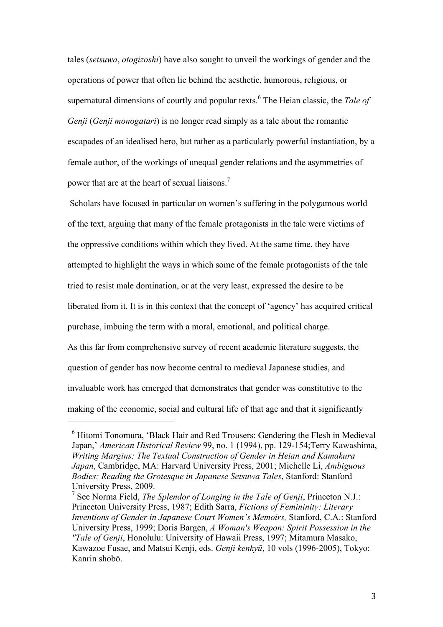tales (*setsuwa*, *otogizoshi*) have also sought to unveil the workings of gender and the operations of power that often lie behind the aesthetic, humorous, religious, or supernatural dimensions of courtly and popular texts. <sup>6</sup> The Heian classic, the *Tale of Genji* (*Genji monogatari*) is no longer read simply as a tale about the romantic escapades of an idealised hero, but rather as a particularly powerful instantiation, by a female author, of the workings of unequal gender relations and the asymmetries of power that are at the heart of sexual liaisons.<sup>7</sup>

Scholars have focused in particular on women's suffering in the polygamous world of the text, arguing that many of the female protagonists in the tale were victims of the oppressive conditions within which they lived. At the same time, they have attempted to highlight the ways in which some of the female protagonists of the tale tried to resist male domination, or at the very least, expressed the desire to be liberated from it. It is in this context that the concept of 'agency' has acquired critical purchase, imbuing the term with a moral, emotional, and political charge. As this far from comprehensive survey of recent academic literature suggests, the

question of gender has now become central to medieval Japanese studies, and invaluable work has emerged that demonstrates that gender was constitutive to the

making of the economic, social and cultural life of that age and that it significantly

<sup>6</sup> Hitomi Tonomura, 'Black Hair and Red Trousers: Gendering the Flesh in Medieval Japan,' *American Historical Review* 99, no. 1 (1994), pp. 129-154;Terry Kawashima, *Writing Margins: The Textual Construction of Gender in Heian and Kamakura Japan*, Cambridge, MA: Harvard University Press, 2001; Michelle Li, *Ambiguous Bodies: Reading the Grotesque in Japanese Setsuwa Tales*, Stanford: Stanford University Press, 2009.

<sup>7</sup> See Norma Field, *The Splendor of Longing in the Tale of Genji*, Princeton N.J.: Princeton University Press, 1987; Edith Sarra, *Fictions of Femininity: Literary Inventions of Gender in Japanese Court Women's Memoirs,* Stanford, C.A.: Stanford University Press, 1999; Doris Bargen, *A Woman's Weapon: Spirit Possession in the "Tale of Genji*, Honolulu: University of Hawaii Press, 1997; Mitamura Masako, Kawazoe Fusae, and Matsui Kenji, eds. *Genji kenkyū*, 10 vols (1996-2005), Tokyo: Kanrin shobō.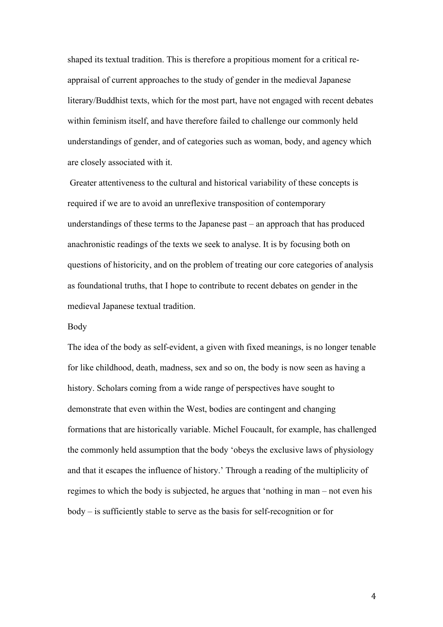shaped its textual tradition. This is therefore a propitious moment for a critical reappraisal of current approaches to the study of gender in the medieval Japanese literary/Buddhist texts, which for the most part, have not engaged with recent debates within feminism itself, and have therefore failed to challenge our commonly held understandings of gender, and of categories such as woman, body, and agency which are closely associated with it.

Greater attentiveness to the cultural and historical variability of these concepts is required if we are to avoid an unreflexive transposition of contemporary understandings of these terms to the Japanese past – an approach that has produced anachronistic readings of the texts we seek to analyse. It is by focusing both on questions of historicity, and on the problem of treating our core categories of analysis as foundational truths, that I hope to contribute to recent debates on gender in the medieval Japanese textual tradition.

### Body

The idea of the body as self-evident, a given with fixed meanings, is no longer tenable for like childhood, death, madness, sex and so on, the body is now seen as having a history. Scholars coming from a wide range of perspectives have sought to demonstrate that even within the West, bodies are contingent and changing formations that are historically variable. Michel Foucault, for example, has challenged the commonly held assumption that the body 'obeys the exclusive laws of physiology and that it escapes the influence of history.' Through a reading of the multiplicity of regimes to which the body is subjected, he argues that 'nothing in man – not even his body – is sufficiently stable to serve as the basis for self-recognition or for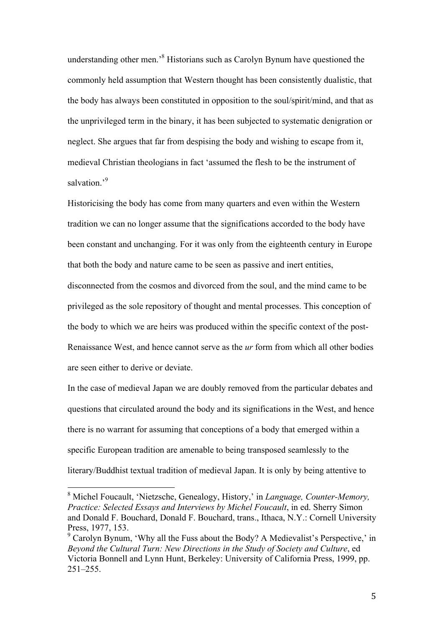understanding other men.<sup>8</sup> Historians such as Carolyn Bynum have questioned the commonly held assumption that Western thought has been consistently dualistic, that the body has always been constituted in opposition to the soul/spirit/mind, and that as the unprivileged term in the binary, it has been subjected to systematic denigration or neglect. She argues that far from despising the body and wishing to escape from it, medieval Christian theologians in fact 'assumed the flesh to be the instrument of salvation.'<sup>9</sup>

Historicising the body has come from many quarters and even within the Western tradition we can no longer assume that the significations accorded to the body have been constant and unchanging. For it was only from the eighteenth century in Europe that both the body and nature came to be seen as passive and inert entities,

disconnected from the cosmos and divorced from the soul, and the mind came to be privileged as the sole repository of thought and mental processes. This conception of the body to which we are heirs was produced within the specific context of the post-Renaissance West, and hence cannot serve as the *ur* form from which all other bodies are seen either to derive or deviate.

In the case of medieval Japan we are doubly removed from the particular debates and questions that circulated around the body and its significations in the West, and hence there is no warrant for assuming that conceptions of a body that emerged within a specific European tradition are amenable to being transposed seamlessly to the literary/Buddhist textual tradition of medieval Japan. It is only by being attentive to

 <sup>8</sup> Michel Foucault, 'Nietzsche, Genealogy, History,' in *Language, Counter-Memory, Practice: Selected Essays and Interviews by Michel Foucault*, in ed. Sherry Simon and Donald F. Bouchard, Donald F. Bouchard, trans., Ithaca, N.Y.: Cornell University Press, 1977, 153.

<sup>&</sup>lt;sup>9</sup> Carolyn Bynum, 'Why all the Fuss about the Body? A Medievalist's Perspective,' in *Beyond the Cultural Turn: New Directions in the Study of Society and Culture*, ed Victoria Bonnell and Lynn Hunt, Berkeley: University of California Press, 1999, pp. 251–255.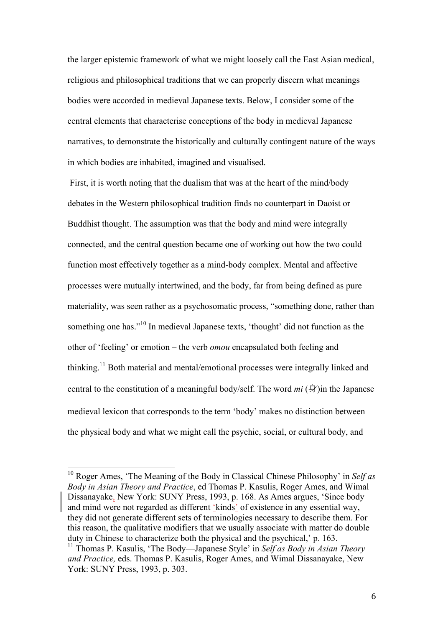the larger epistemic framework of what we might loosely call the East Asian medical, religious and philosophical traditions that we can properly discern what meanings bodies were accorded in medieval Japanese texts. Below, I consider some of the central elements that characterise conceptions of the body in medieval Japanese narratives, to demonstrate the historically and culturally contingent nature of the ways in which bodies are inhabited, imagined and visualised.

First, it is worth noting that the dualism that was at the heart of the mind/body debates in the Western philosophical tradition finds no counterpart in Daoist or Buddhist thought. The assumption was that the body and mind were integrally connected, and the central question became one of working out how the two could function most effectively together as a mind-body complex. Mental and affective processes were mutually intertwined, and the body, far from being defined as pure materiality, was seen rather as a psychosomatic process, "something done, rather than something one has."<sup>10</sup> In medieval Japanese texts, 'thought' did not function as the other of 'feeling' or emotion – the verb *omou* encapsulated both feeling and thinking.<sup>11</sup> Both material and mental/emotional processes were integrally linked and central to the constitution of a meaningful body/self. The word  $mi$  (身)in the Japanese medieval lexicon that corresponds to the term 'body' makes no distinction between the physical body and what we might call the psychic, social, or cultural body, and

 <sup>10</sup> Roger Ames, 'The Meaning of the Body in Classical Chinese Philosophy' in *Self as Body in Asian Theory and Practice*, ed Thomas P. Kasulis, Roger Ames, and Wimal Dissanayake, New York: SUNY Press, 1993, p. 168. As Ames argues, 'Since body and mind were not regarded as different 'kinds' of existence in any essential way, they did not generate different sets of terminologies necessary to describe them. For this reason, the qualitative modifiers that we usually associate with matter do double duty in Chinese to characterize both the physical and the psychical,' p. 163.

<sup>&</sup>lt;sup>11</sup> Thomas P. Kasulis, 'The Body—Japanese Style' in *Self as Body in Asian Theory and Practice,* eds. Thomas P. Kasulis, Roger Ames, and Wimal Dissanayake, New York: SUNY Press, 1993, p. 303.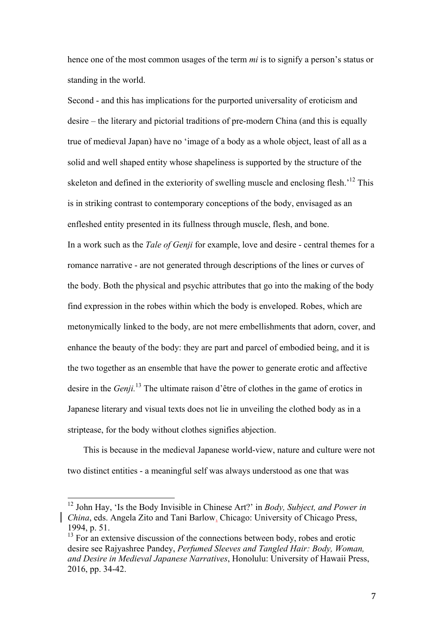hence one of the most common usages of the term *mi* is to signify a person's status or standing in the world.

Second - and this has implications for the purported universality of eroticism and desire – the literary and pictorial traditions of pre-modern China (and this is equally true of medieval Japan) have no 'image of a body as a whole object, least of all as a solid and well shaped entity whose shapeliness is supported by the structure of the skeleton and defined in the exteriority of swelling muscle and enclosing flesh.<sup>12</sup> This is in striking contrast to contemporary conceptions of the body, envisaged as an enfleshed entity presented in its fullness through muscle, flesh, and bone. In a work such as the *Tale of Genji* for example, love and desire - central themes for a romance narrative - are not generated through descriptions of the lines or curves of the body. Both the physical and psychic attributes that go into the making of the body find expression in the robes within which the body is enveloped. Robes, which are metonymically linked to the body, are not mere embellishments that adorn, cover, and enhance the beauty of the body: they are part and parcel of embodied being, and it is the two together as an ensemble that have the power to generate erotic and affective desire in the *Genji*.<sup>13</sup> The ultimate raison d'être of clothes in the game of erotics in Japanese literary and visual texts does not lie in unveiling the clothed body as in a striptease, for the body without clothes signifies abjection.

This is because in the medieval Japanese world-view, nature and culture were not two distinct entities - a meaningful self was always understood as one that was

 <sup>12</sup> John Hay, 'Is the Body Invisible in Chinese Art?' in *Body, Subject, and Power in China*, eds. Angela Zito and Tani Barlow, Chicago: University of Chicago Press, 1994, p. 51.

 $13$  For an extensive discussion of the connections between body, robes and erotic desire see Rajyashree Pandey, *Perfumed Sleeves and Tangled Hair: Body, Woman, and Desire in Medieval Japanese Narratives*, Honolulu: University of Hawaii Press, 2016, pp. 34-42.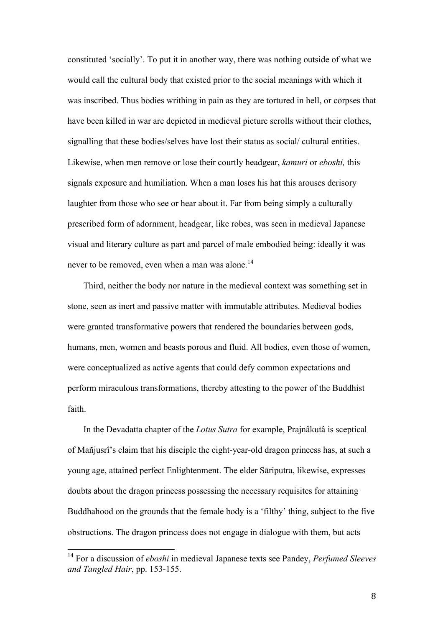constituted 'socially'. To put it in another way, there was nothing outside of what we would call the cultural body that existed prior to the social meanings with which it was inscribed. Thus bodies writhing in pain as they are tortured in hell, or corpses that have been killed in war are depicted in medieval picture scrolls without their clothes, signalling that these bodies/selves have lost their status as social/ cultural entities. Likewise, when men remove or lose their courtly headgear, *kamuri* or *eboshi,* this signals exposure and humiliation. When a man loses his hat this arouses derisory laughter from those who see or hear about it. Far from being simply a culturally prescribed form of adornment, headgear, like robes, was seen in medieval Japanese visual and literary culture as part and parcel of male embodied being: ideally it was never to be removed, even when a man was alone.<sup>14</sup>

Third, neither the body nor nature in the medieval context was something set in stone, seen as inert and passive matter with immutable attributes. Medieval bodies were granted transformative powers that rendered the boundaries between gods, humans, men, women and beasts porous and fluid. All bodies, even those of women, were conceptualized as active agents that could defy common expectations and perform miraculous transformations, thereby attesting to the power of the Buddhist faith.

In the Devadatta chapter of the *Lotus Sutra* for example, Prajnâkutâ is sceptical of Mañjusrî's claim that his disciple the eight-year-old dragon princess has, at such a young age, attained perfect Enlightenment. The elder Sāriputra, likewise, expresses doubts about the dragon princess possessing the necessary requisites for attaining Buddhahood on the grounds that the female body is a 'filthy' thing, subject to the five obstructions. The dragon princess does not engage in dialogue with them, but acts

 <sup>14</sup> For a discussion of *eboshi* in medieval Japanese texts see Pandey, *Perfumed Sleeves and Tangled Hair*, pp. 153-155.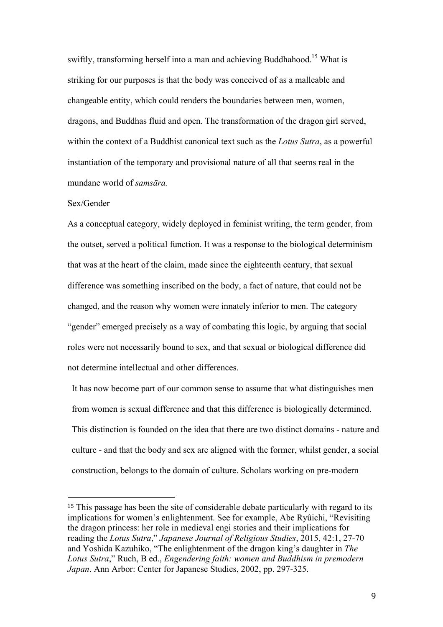swiftly, transforming herself into a man and achieving Buddhahood.<sup>15</sup> What is striking for our purposes is that the body was conceived of as a malleable and changeable entity, which could renders the boundaries between men, women, dragons, and Buddhas fluid and open. The transformation of the dragon girl served, within the context of a Buddhist canonical text such as the *Lotus Sutra*, as a powerful instantiation of the temporary and provisional nature of all that seems real in the mundane world of *samsāra.*

#### Sex/Gender

 

As a conceptual category, widely deployed in feminist writing, the term gender, from the outset, served a political function. It was a response to the biological determinism that was at the heart of the claim, made since the eighteenth century, that sexual difference was something inscribed on the body, a fact of nature, that could not be changed, and the reason why women were innately inferior to men. The category "gender" emerged precisely as a way of combating this logic, by arguing that social roles were not necessarily bound to sex, and that sexual or biological difference did not determine intellectual and other differences.

It has now become part of our common sense to assume that what distinguishes men from women is sexual difference and that this difference is biologically determined. This distinction is founded on the idea that there are two distinct domains - nature and culture - and that the body and sex are aligned with the former, whilst gender, a social construction, belongs to the domain of culture. Scholars working on pre-modern

<sup>15</sup> This passage has been the site of considerable debate particularly with regard to its implications for women's enlightenment. See for example, Abe Ryûichi, "Revisiting the dragon princess: her role in medieval engi stories and their implications for reading the *Lotus Sutra*," *Japanese Journal of Religious Studies*, 2015, 42:1, 27-70 and Yoshida Kazuhiko, "The enlightenment of the dragon king's daughter in *The Lotus Sutra*," Ruch, B ed., *Engendering faith: women and Buddhism in premodern Japan*. Ann Arbor: Center for Japanese Studies, 2002, pp. 297-325.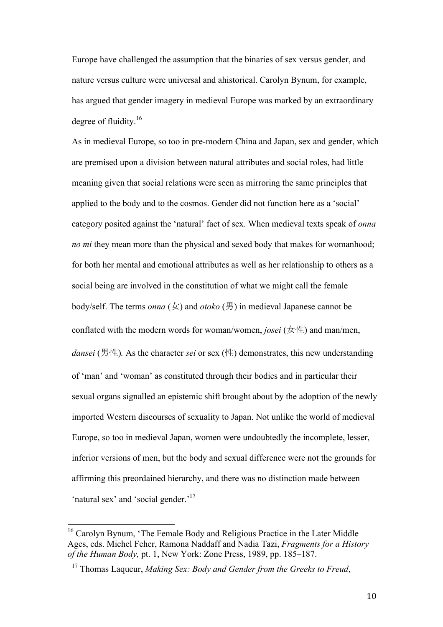Europe have challenged the assumption that the binaries of sex versus gender, and nature versus culture were universal and ahistorical. Carolyn Bynum, for example, has argued that gender imagery in medieval Europe was marked by an extraordinary degree of fluidity.<sup>16</sup>

As in medieval Europe, so too in pre-modern China and Japan, sex and gender, which are premised upon a division between natural attributes and social roles, had little meaning given that social relations were seen as mirroring the same principles that applied to the body and to the cosmos. Gender did not function here as a 'social' category posited against the 'natural' fact of sex. When medieval texts speak of *onna no mi* they mean more than the physical and sexed body that makes for womanhood; for both her mental and emotional attributes as well as her relationship to others as a social being are involved in the constitution of what we might call the female body/self. The terms *onna* (女) and *otoko* (男) in medieval Japanese cannot be conflated with the modern words for woman/women, *josei* ( $\forall$ 性) and man/men, *dansei* (男性)*.* As the character *sei* or sex (性) demonstrates, this new understanding of 'man' and 'woman' as constituted through their bodies and in particular their sexual organs signalled an epistemic shift brought about by the adoption of the newly imported Western discourses of sexuality to Japan. Not unlike the world of medieval Europe, so too in medieval Japan, women were undoubtedly the incomplete, lesser, inferior versions of men, but the body and sexual difference were not the grounds for affirming this preordained hierarchy, and there was no distinction made between 'natural sex' and 'social gender.<sup>'17</sup>

<sup>&</sup>lt;sup>16</sup> Carolyn Bynum, 'The Female Body and Religious Practice in the Later Middle Ages, eds. Michel Feher, Ramona Naddaff and Nadia Tazi, *Fragments for a History of the Human Body,* pt. 1, New York: Zone Press, 1989, pp. 185–187.

<sup>&</sup>lt;sup>17</sup> Thomas Laqueur, *Making Sex: Body and Gender from the Greeks to Freud*,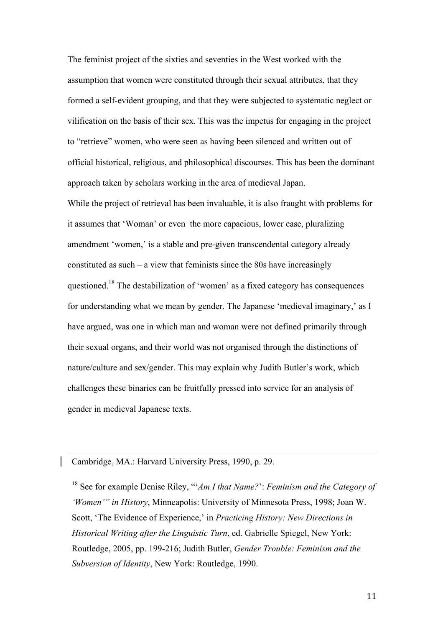The feminist project of the sixties and seventies in the West worked with the assumption that women were constituted through their sexual attributes, that they formed a self-evident grouping, and that they were subjected to systematic neglect or vilification on the basis of their sex. This was the impetus for engaging in the project to "retrieve" women, who were seen as having been silenced and written out of official historical, religious, and philosophical discourses. This has been the dominant approach taken by scholars working in the area of medieval Japan.

While the project of retrieval has been invaluable, it is also fraught with problems for it assumes that 'Woman' or even the more capacious, lower case, pluralizing amendment 'women,' is a stable and pre-given transcendental category already constituted as such – a view that feminists since the 80s have increasingly questioned.<sup>18</sup> The destabilization of 'women' as a fixed category has consequences for understanding what we mean by gender. The Japanese 'medieval imaginary,' as I have argued, was one in which man and woman were not defined primarily through their sexual organs, and their world was not organised through the distinctions of nature/culture and sex/gender. This may explain why Judith Butler's work, which challenges these binaries can be fruitfully pressed into service for an analysis of gender in medieval Japanese texts.

Cambridge, MA.: Harvard University Press, 1990, p. 29.

<sup>18</sup> See for example Denise Riley, "'*Am I that Name?*': *Feminism and the Category of 'Women'" in History*, Minneapolis: University of Minnesota Press, 1998; Joan W. Scott, 'The Evidence of Experience,' in *Practicing History: New Directions in Historical Writing after the Linguistic Turn*, ed. Gabrielle Spiegel, New York: Routledge, 2005, pp. 199-216; Judith Butler, *Gender Trouble: Feminism and the Subversion of Identity*, New York: Routledge, 1990.

<u> 1989 - Johann Stein, fransk politik (d. 1989)</u>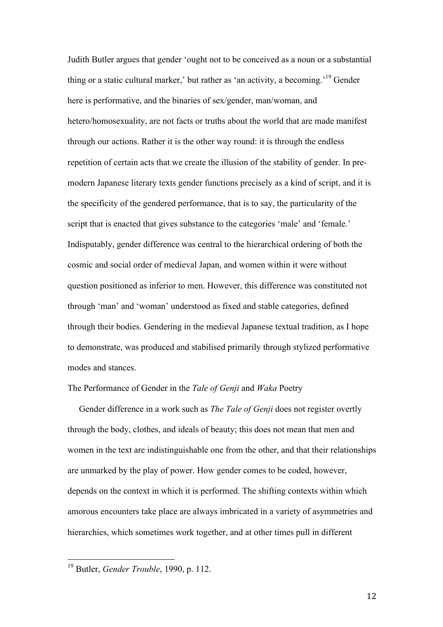Judith Butler argues that gender 'ought not to be conceived as a noun or a substantial thing or a static cultural marker,' but rather as 'an activity, a becoming.'<sup>19</sup> Gender here is performative, and the binaries of sex/gender, man/woman, and hetero/homosexuality, are not facts or truths about the world that are made manifest through our actions. Rather it is the other way round: it is through the endless repetition of certain acts that we create the illusion of the stability of gender. In premodern Japanese literary texts gender functions precisely as a kind of script, and it is the specificity of the gendered performance, that is to say, the particularity of the script that is enacted that gives substance to the categories 'male' and 'female.' Indisputably, gender difference was central to the hierarchical ordering of both the cosmic and social order of medieval Japan, and women within it were without question positioned as inferior to men. However, this difference was constituted not through 'man' and 'woman' understood as fixed and stable categories, defined through their bodies. Gendering in the medieval Japanese textual tradition, as I hope to demonstrate, was produced and stabilised primarily through stylized performative modes and stances.

## The Performance of Gender in the *Tale of Genji* and *Waka* Poetry

Gender difference in a work such as *The Tale of Genji* does not register overtly through the body, clothes, and ideals of beauty; this does not mean that men and women in the text are indistinguishable one from the other, and that their relationships are unmarked by the play of power. How gender comes to be coded, however, depends on the context in which it is performed. The shifting contexts within which amorous encounters take place are always imbricated in a variety of asymmetries and hierarchies, which sometimes work together, and at other times pull in different

<sup>&</sup>lt;sup>19</sup> Butler, *Gender Trouble*, 1990, p. 112.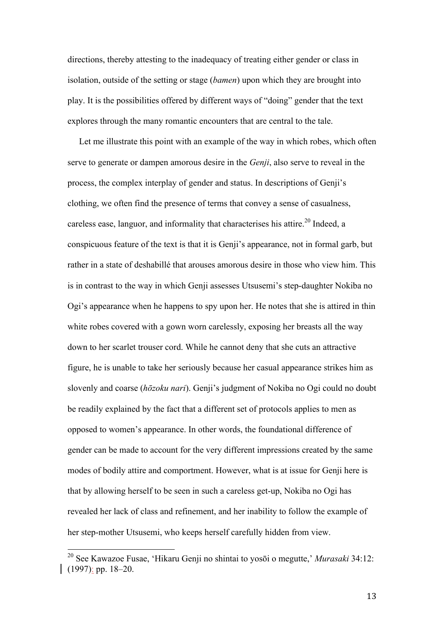directions, thereby attesting to the inadequacy of treating either gender or class in isolation, outside of the setting or stage (*bamen*) upon which they are brought into play. It is the possibilities offered by different ways of "doing" gender that the text explores through the many romantic encounters that are central to the tale.

Let me illustrate this point with an example of the way in which robes, which often serve to generate or dampen amorous desire in the *Genji*, also serve to reveal in the process, the complex interplay of gender and status. In descriptions of Genji's clothing, we often find the presence of terms that convey a sense of casualness, careless ease, languor, and informality that characterises his attire.<sup>20</sup> Indeed, a conspicuous feature of the text is that it is Genji's appearance, not in formal garb, but rather in a state of deshabillé that arouses amorous desire in those who view him. This is in contrast to the way in which Genji assesses Utsusemi's step-daughter Nokiba no Ogi's appearance when he happens to spy upon her. He notes that she is attired in thin white robes covered with a gown worn carelessly, exposing her breasts all the way down to her scarlet trouser cord. While he cannot deny that she cuts an attractive figure, he is unable to take her seriously because her casual appearance strikes him as slovenly and coarse (*hōzoku nari*). Genji's judgment of Nokiba no Ogi could no doubt be readily explained by the fact that a different set of protocols applies to men as opposed to women's appearance. In other words, the foundational difference of gender can be made to account for the very different impressions created by the same modes of bodily attire and comportment. However, what is at issue for Genji here is that by allowing herself to be seen in such a careless get-up, Nokiba no Ogi has revealed her lack of class and refinement, and her inability to follow the example of her step-mother Utsusemi, who keeps herself carefully hidden from view.

 <sup>20</sup> See Kawazoe Fusae, 'Hikaru Genji no shintai to yosōi o megutte,' *Murasaki* 34:12: (1997): pp. 18–20.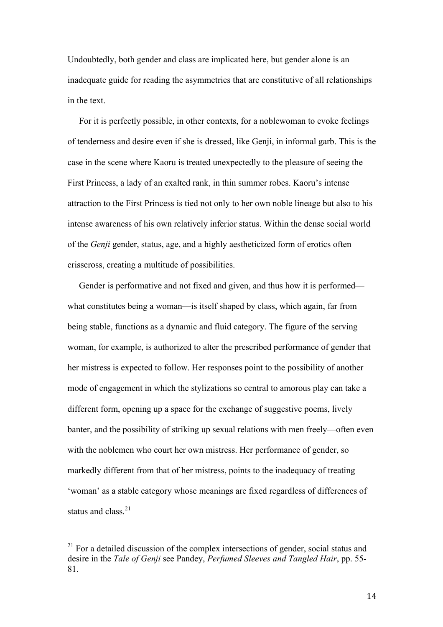Undoubtedly, both gender and class are implicated here, but gender alone is an inadequate guide for reading the asymmetries that are constitutive of all relationships in the text.

For it is perfectly possible, in other contexts, for a noblewoman to evoke feelings of tenderness and desire even if she is dressed, like Genji, in informal garb. This is the case in the scene where Kaoru is treated unexpectedly to the pleasure of seeing the First Princess, a lady of an exalted rank, in thin summer robes. Kaoru's intense attraction to the First Princess is tied not only to her own noble lineage but also to his intense awareness of his own relatively inferior status. Within the dense social world of the *Genji* gender, status, age, and a highly aestheticized form of erotics often crisscross, creating a multitude of possibilities.

Gender is performative and not fixed and given, and thus how it is performed what constitutes being a woman—is itself shaped by class, which again, far from being stable, functions as a dynamic and fluid category. The figure of the serving woman, for example, is authorized to alter the prescribed performance of gender that her mistress is expected to follow. Her responses point to the possibility of another mode of engagement in which the stylizations so central to amorous play can take a different form, opening up a space for the exchange of suggestive poems, lively banter, and the possibility of striking up sexual relations with men freely—often even with the noblemen who court her own mistress. Her performance of gender, so markedly different from that of her mistress, points to the inadequacy of treating 'woman' as a stable category whose meanings are fixed regardless of differences of status and class. $21$ 

 $21$  For a detailed discussion of the complex intersections of gender, social status and desire in the *Tale of Genji* see Pandey, *Perfumed Sleeves and Tangled Hair*, pp. 55- 81.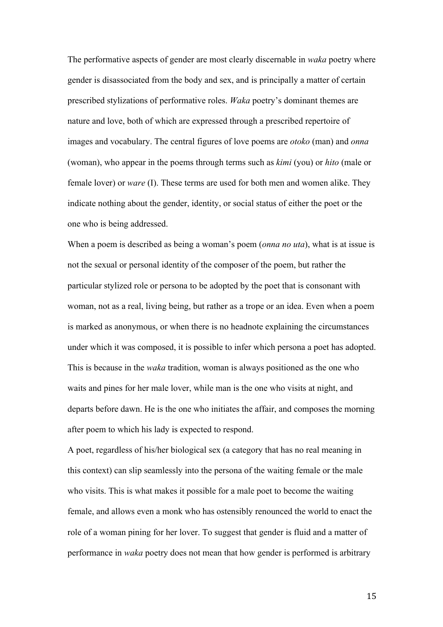The performative aspects of gender are most clearly discernable in *waka* poetry where gender is disassociated from the body and sex, and is principally a matter of certain prescribed stylizations of performative roles. *Waka* poetry's dominant themes are nature and love, both of which are expressed through a prescribed repertoire of images and vocabulary. The central figures of love poems are *otoko* (man) and *onna* (woman), who appear in the poems through terms such as *kimi* (you) or *hito* (male or female lover) or *ware* (I). These terms are used for both men and women alike. They indicate nothing about the gender, identity, or social status of either the poet or the one who is being addressed.

When a poem is described as being a woman's poem (*onna no uta*), what is at issue is not the sexual or personal identity of the composer of the poem, but rather the particular stylized role or persona to be adopted by the poet that is consonant with woman, not as a real, living being, but rather as a trope or an idea. Even when a poem is marked as anonymous, or when there is no headnote explaining the circumstances under which it was composed, it is possible to infer which persona a poet has adopted. This is because in the *waka* tradition, woman is always positioned as the one who waits and pines for her male lover, while man is the one who visits at night, and departs before dawn. He is the one who initiates the affair, and composes the morning after poem to which his lady is expected to respond.

A poet, regardless of his/her biological sex (a category that has no real meaning in this context) can slip seamlessly into the persona of the waiting female or the male who visits. This is what makes it possible for a male poet to become the waiting female, and allows even a monk who has ostensibly renounced the world to enact the role of a woman pining for her lover. To suggest that gender is fluid and a matter of performance in *waka* poetry does not mean that how gender is performed is arbitrary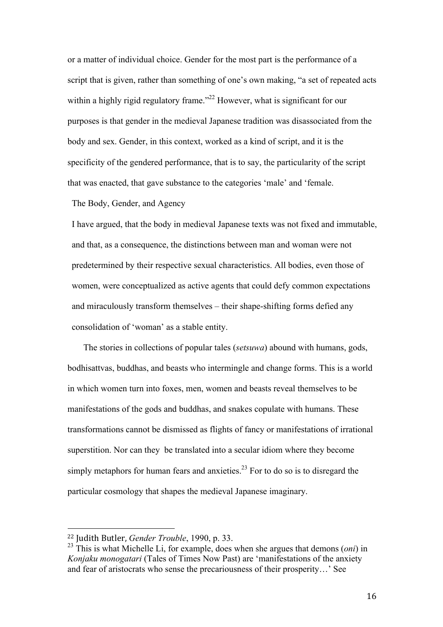or a matter of individual choice. Gender for the most part is the performance of a script that is given, rather than something of one's own making, "a set of repeated acts within a highly rigid regulatory frame."<sup>22</sup> However, what is significant for our purposes is that gender in the medieval Japanese tradition was disassociated from the body and sex. Gender, in this context, worked as a kind of script, and it is the specificity of the gendered performance, that is to say, the particularity of the script that was enacted, that gave substance to the categories 'male' and 'female.

The Body, Gender, and Agency

I have argued, that the body in medieval Japanese texts was not fixed and immutable, and that, as a consequence, the distinctions between man and woman were not predetermined by their respective sexual characteristics. All bodies, even those of women, were conceptualized as active agents that could defy common expectations and miraculously transform themselves – their shape-shifting forms defied any consolidation of 'woman' as a stable entity.

The stories in collections of popular tales (*setsuwa*) abound with humans, gods, bodhisattvas, buddhas, and beasts who intermingle and change forms. This is a world in which women turn into foxes, men, women and beasts reveal themselves to be manifestations of the gods and buddhas, and snakes copulate with humans. These transformations cannot be dismissed as flights of fancy or manifestations of irrational superstition. Nor can they be translated into a secular idiom where they become simply metaphors for human fears and anxieties.<sup>23</sup> For to do so is to disregard the particular cosmology that shapes the medieval Japanese imaginary.

<sup>&</sup>lt;sup>22</sup> Judith Butler, *Gender Trouble*, 1990, p. 33.<br><sup>23</sup> This is what Michelle Li, for example, does when she argues that demons (*oni*) in *Konjaku monogatari* (Tales of Times Now Past) are 'manifestations of the anxiety and fear of aristocrats who sense the precariousness of their prosperity…' See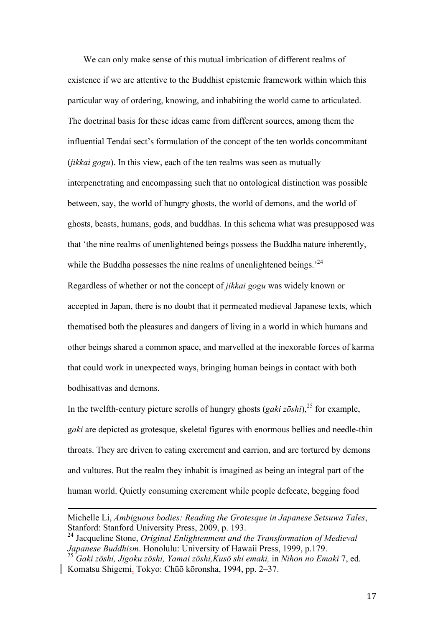We can only make sense of this mutual imbrication of different realms of existence if we are attentive to the Buddhist epistemic framework within which this particular way of ordering, knowing, and inhabiting the world came to articulated. The doctrinal basis for these ideas came from different sources, among them the influential Tendai sect's formulation of the concept of the ten worlds concommitant (*jikkai gogu*). In this view, each of the ten realms was seen as mutually interpenetrating and encompassing such that no ontological distinction was possible between, say, the world of hungry ghosts, the world of demons, and the world of ghosts, beasts, humans, gods, and buddhas. In this schema what was presupposed was that 'the nine realms of unenlightened beings possess the Buddha nature inherently, while the Buddha possesses the nine realms of unenlightened beings.<sup>24</sup>

Regardless of whether or not the concept of *jikkai gogu* was widely known or accepted in Japan, there is no doubt that it permeated medieval Japanese texts, which thematised both the pleasures and dangers of living in a world in which humans and other beings shared a common space, and marvelled at the inexorable forces of karma that could work in unexpected ways, bringing human beings in contact with both bodhisattvas and demons.

In the twelfth-century picture scrolls of hungry ghosts  $(gaki zōshi)$ ,<sup>25</sup> for example, g*aki* are depicted as grotesque, skeletal figures with enormous bellies and needle-thin throats. They are driven to eating excrement and carrion, and are tortured by demons and vultures. But the realm they inhabit is imagined as being an integral part of the human world. Quietly consuming excrement while people defecate, begging food

<u> 1989 - Johann Stein, fransk politik (d. 1989)</u>

Michelle Li, *Ambiguous bodies: Reading the Grotesque in Japanese Setsuwa Tales*, Stanford: Stanford University Press, 2009, p. 193.

<sup>24</sup> Jacqueline Stone, *Original Enlightenment and the Transformation of Medieval Japanese Buddhism*. Honolulu: University of Hawaii Press, 1999, p.179. <sup>25</sup> *Gaki zōshi, Jigoku zōshi, Yamai zōshi,Kusō shi emaki,* in *Nihon no Emaki* 7, ed. Komatsu Shigemi, Tokyo: Chūō kōronsha, 1994, pp. 2–37.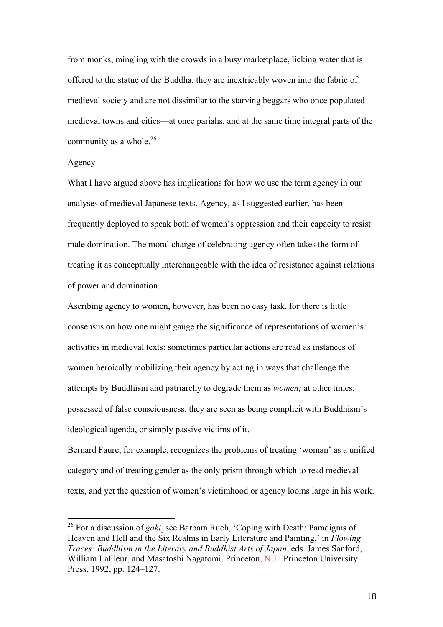from monks, mingling with the crowds in a busy marketplace, licking water that is offered to the statue of the Buddha, they are inextricably woven into the fabric of medieval society and are not dissimilar to the starving beggars who once populated medieval towns and cities—at once pariahs, and at the same time integral parts of the community as a whole. $26$ 

### Agency

What I have argued above has implications for how we use the term agency in our analyses of medieval Japanese texts. Agency, as I suggested earlier, has been frequently deployed to speak both of women's oppression and their capacity to resist male domination. The moral charge of celebrating agency often takes the form of treating it as conceptually interchangeable with the idea of resistance against relations of power and domination.

Ascribing agency to women, however, has been no easy task, for there is little consensus on how one might gauge the significance of representations of women's activities in medieval texts: sometimes particular actions are read as instances of women heroically mobilizing their agency by acting in ways that challenge the attempts by Buddhism and patriarchy to degrade them as *women;* at other times, possessed of false consciousness, they are seen as being complicit with Buddhism's ideological agenda, or simply passive victims of it.

Bernard Faure, for example, recognizes the problems of treating 'woman' as a unified category and of treating gender as the only prism through which to read medieval texts, and yet the question of women's victimhood or agency looms large in his work.

<sup>&</sup>lt;sup>26</sup> For a discussion of *gaki*, see Barbara Ruch, 'Coping with Death: Paradigms of Heaven and Hell and the Six Realms in Early Literature and Painting,' in *Flowing Traces: Buddhism in the Literary and Buddhist Arts of Japan*, eds. James Sanford, William LaFleur, and Masatoshi Nagatomi, Princeton, N.J.: Princeton University Press, 1992, pp. 124–127.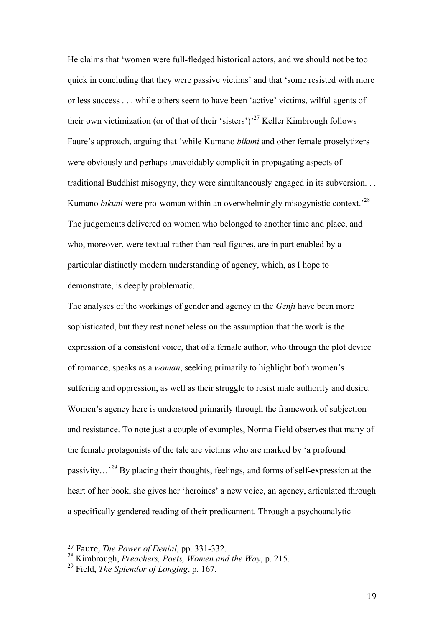He claims that 'women were full-fledged historical actors, and we should not be too quick in concluding that they were passive victims' and that 'some resisted with more or less success . . . while others seem to have been 'active' victims, wilful agents of their own victimization (or of that of their 'sisters')<sup>27</sup> Keller Kimbrough follows Faure's approach, arguing that 'while Kumano *bikuni* and other female proselytizers were obviously and perhaps unavoidably complicit in propagating aspects of traditional Buddhist misogyny, they were simultaneously engaged in its subversion. . . Kumano *bikuni* were pro-woman within an overwhelmingly misogynistic context.<sup>28</sup> The judgements delivered on women who belonged to another time and place, and who, moreover, were textual rather than real figures, are in part enabled by a particular distinctly modern understanding of agency, which, as I hope to demonstrate, is deeply problematic.

The analyses of the workings of gender and agency in the *Genji* have been more sophisticated, but they rest nonetheless on the assumption that the work is the expression of a consistent voice, that of a female author, who through the plot device of romance, speaks as a *woman*, seeking primarily to highlight both women's suffering and oppression, as well as their struggle to resist male authority and desire. Women's agency here is understood primarily through the framework of subjection and resistance. To note just a couple of examples, Norma Field observes that many of the female protagonists of the tale are victims who are marked by 'a profound passivity...<sup>29</sup> By placing their thoughts, feelings, and forms of self-expression at the heart of her book, she gives her 'heroines' a new voice, an agency, articulated through a specifically gendered reading of their predicament. Through a psychoanalytic

<sup>27</sup> Faure, *The Power of Denial*, pp. 331-332.

<sup>28</sup> Kimbrough, *Preachers, Poets, Women and the Way*, p. 215.

<sup>29</sup> Field, *The Splendor of Longing*, p. 167.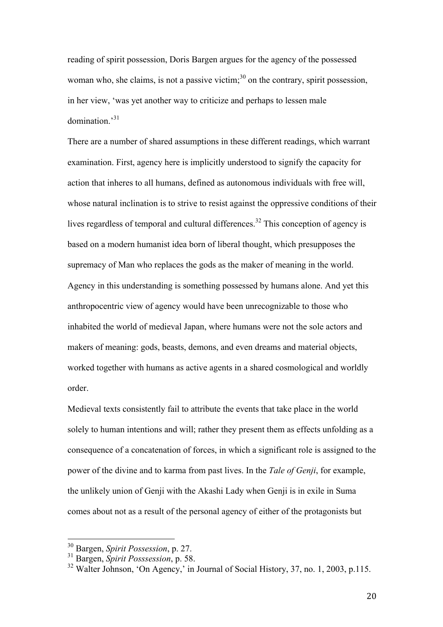reading of spirit possession, Doris Bargen argues for the agency of the possessed woman who, she claims, is not a passive victim;<sup>30</sup> on the contrary, spirit possession, in her view, 'was yet another way to criticize and perhaps to lessen male domination<sup>31</sup>

There are a number of shared assumptions in these different readings, which warrant examination. First, agency here is implicitly understood to signify the capacity for action that inheres to all humans, defined as autonomous individuals with free will, whose natural inclination is to strive to resist against the oppressive conditions of their lives regardless of temporal and cultural differences.<sup>32</sup> This conception of agency is based on a modern humanist idea born of liberal thought, which presupposes the supremacy of Man who replaces the gods as the maker of meaning in the world. Agency in this understanding is something possessed by humans alone. And yet this anthropocentric view of agency would have been unrecognizable to those who inhabited the world of medieval Japan, where humans were not the sole actors and makers of meaning: gods, beasts, demons, and even dreams and material objects, worked together with humans as active agents in a shared cosmological and worldly order.

Medieval texts consistently fail to attribute the events that take place in the world solely to human intentions and will; rather they present them as effects unfolding as a consequence of a concatenation of forces, in which a significant role is assigned to the power of the divine and to karma from past lives. In the *Tale of Genji*, for example, the unlikely union of Genji with the Akashi Lady when Genji is in exile in Suma comes about not as a result of the personal agency of either of the protagonists but

 <sup>30</sup> Bargen, *Spirit Possession*, p. 27.

<sup>31</sup> Bargen, *Spirit Posssession*, p. 58.

<sup>&</sup>lt;sup>32</sup> Walter Johnson, 'On Agency,' in Journal of Social History, 37, no. 1, 2003, p.115.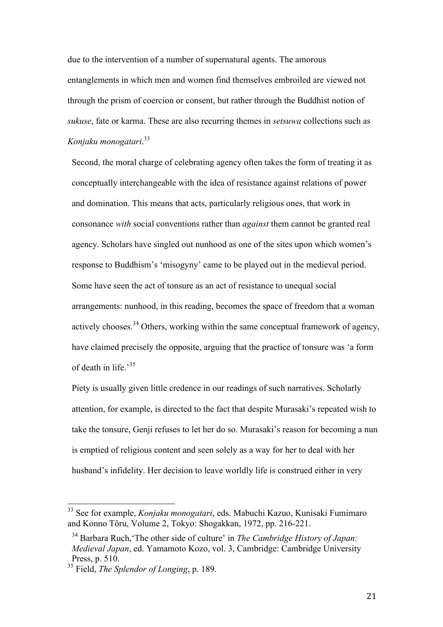due to the intervention of a number of supernatural agents. The amorous entanglements in which men and women find themselves embroiled are viewed not through the prism of coercion or consent, but rather through the Buddhist notion of *sukuse*, fate or karma. These are also recurring themes in *setsuwa* collections such as *Konjaku monogatari*. 33

Second, the moral charge of celebrating agency often takes the form of treating it as conceptually interchangeable with the idea of resistance against relations of power and domination. This means that acts, particularly religious ones, that work in consonance *with* social conventions rather than *against* them cannot be granted real agency. Scholars have singled out nunhood as one of the sites upon which women's response to Buddhism's 'misogyny' came to be played out in the medieval period. Some have seen the act of tonsure as an act of resistance to unequal social arrangements: nunhood, in this reading, becomes the space of freedom that a woman actively chooses.<sup>34</sup> Others, working within the same conceptual framework of agency, have claimed precisely the opposite, arguing that the practice of tonsure was 'a form of death in life.'<sup>35</sup>

Piety is usually given little credence in our readings of such narratives. Scholarly attention, for example, is directed to the fact that despite Murasaki's repeated wish to take the tonsure, Genji refuses to let her do so. Murasaki's reason for becoming a nun is emptied of religious content and seen solely as a way for her to deal with her husband's infidelity. Her decision to leave worldly life is construed either in very

 <sup>33</sup> See for example, *Konjaku monogatari*, eds. Mabuchi Kazuo, Kunisaki Fumimaro and Konno Tôru, Volume 2, Tokyo: Shogakkan, 1972, pp. 216-221.

<sup>34</sup> Barbara Ruch,'The other side of culture' in *The Cambridge History of Japan: Medieval Japan*, ed. Yamamoto Kozo, vol. 3, Cambridge: Cambridge University Press, p. 510.

<sup>35</sup> Field, *The Splendor of Longing*, p. 189.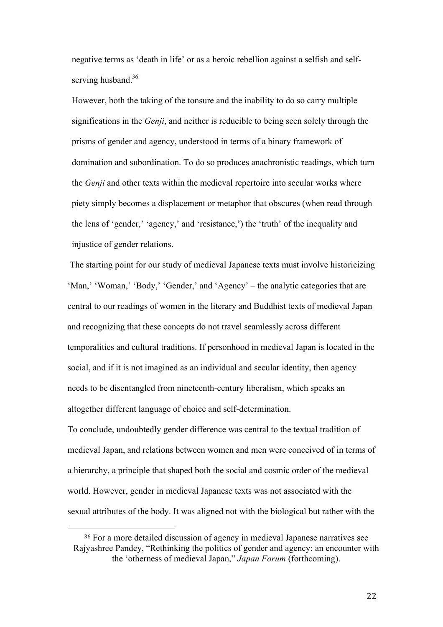negative terms as 'death in life' or as a heroic rebellion against a selfish and selfserving husband. $36$ 

However, both the taking of the tonsure and the inability to do so carry multiple significations in the *Genji*, and neither is reducible to being seen solely through the prisms of gender and agency, understood in terms of a binary framework of domination and subordination. To do so produces anachronistic readings, which turn the *Genji* and other texts within the medieval repertoire into secular works where piety simply becomes a displacement or metaphor that obscures (when read through the lens of 'gender,' 'agency,' and 'resistance,') the 'truth' of the inequality and injustice of gender relations.

The starting point for our study of medieval Japanese texts must involve historicizing 'Man,' 'Woman,' 'Body,' 'Gender,' and 'Agency' – the analytic categories that are central to our readings of women in the literary and Buddhist texts of medieval Japan and recognizing that these concepts do not travel seamlessly across different temporalities and cultural traditions. If personhood in medieval Japan is located in the social, and if it is not imagined as an individual and secular identity, then agency needs to be disentangled from nineteenth-century liberalism, which speaks an altogether different language of choice and self-determination.

To conclude, undoubtedly gender difference was central to the textual tradition of medieval Japan, and relations between women and men were conceived of in terms of a hierarchy, a principle that shaped both the social and cosmic order of the medieval world. However, gender in medieval Japanese texts was not associated with the sexual attributes of the body. It was aligned not with the biological but rather with the

<sup>36</sup> For a more detailed discussion of agency in medieval Japanese narratives see Rajyashree Pandey, "Rethinking the politics of gender and agency: an encounter with the 'otherness of medieval Japan," *Japan Forum* (forthcoming).